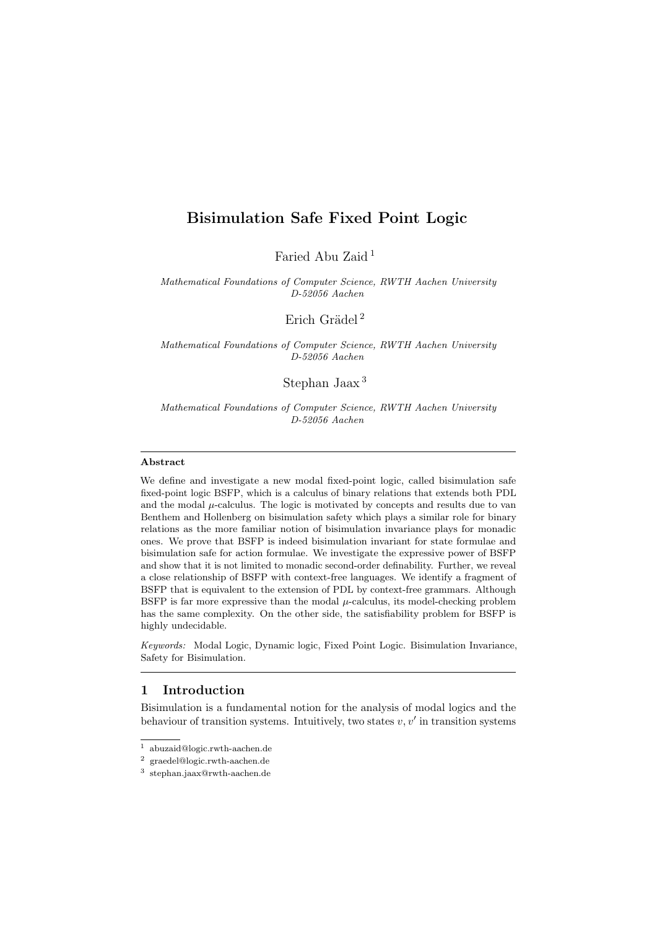# Bisimulation Safe Fixed Point Logic

Faried Abu Zaid [1](#page-0-0)

Mathematical Foundations of Computer Science, RWTH Aachen University D-52056 Aachen

Erich Grädel<sup>[2](#page-0-1)</sup>

Mathematical Foundations of Computer Science, RWTH Aachen University D-52056 Aachen

Stephan Jaax [3](#page-0-2)

Mathematical Foundations of Computer Science, RWTH Aachen University D-52056 Aachen

### Abstract

We define and investigate a new modal fixed-point logic, called bisimulation safe fixed-point logic BSFP, which is a calculus of binary relations that extends both PDL and the modal  $\mu$ -calculus. The logic is motivated by concepts and results due to van Benthem and Hollenberg on bisimulation safety which plays a similar role for binary relations as the more familiar notion of bisimulation invariance plays for monadic ones. We prove that BSFP is indeed bisimulation invariant for state formulae and bisimulation safe for action formulae. We investigate the expressive power of BSFP and show that it is not limited to monadic second-order definability. Further, we reveal a close relationship of BSFP with context-free languages. We identify a fragment of BSFP that is equivalent to the extension of PDL by context-free grammars. Although BSFP is far more expressive than the modal  $\mu$ -calculus, its model-checking problem has the same complexity. On the other side, the satisfiability problem for BSFP is highly undecidable.

Keywords: Modal Logic, Dynamic logic, Fixed Point Logic. Bisimulation Invariance, Safety for Bisimulation.

## 1 Introduction

Bisimulation is a fundamental notion for the analysis of modal logics and the behaviour of transition systems. Intuitively, two states  $v, v'$  in transition systems

<span id="page-0-0"></span><sup>1</sup> abuzaid@logic.rwth-aachen.de

<span id="page-0-1"></span> $^{\rm 2}$  graedel@logic.rwth-aachen.de

<span id="page-0-2"></span><sup>3</sup> stephan.jaax@rwth-aachen.de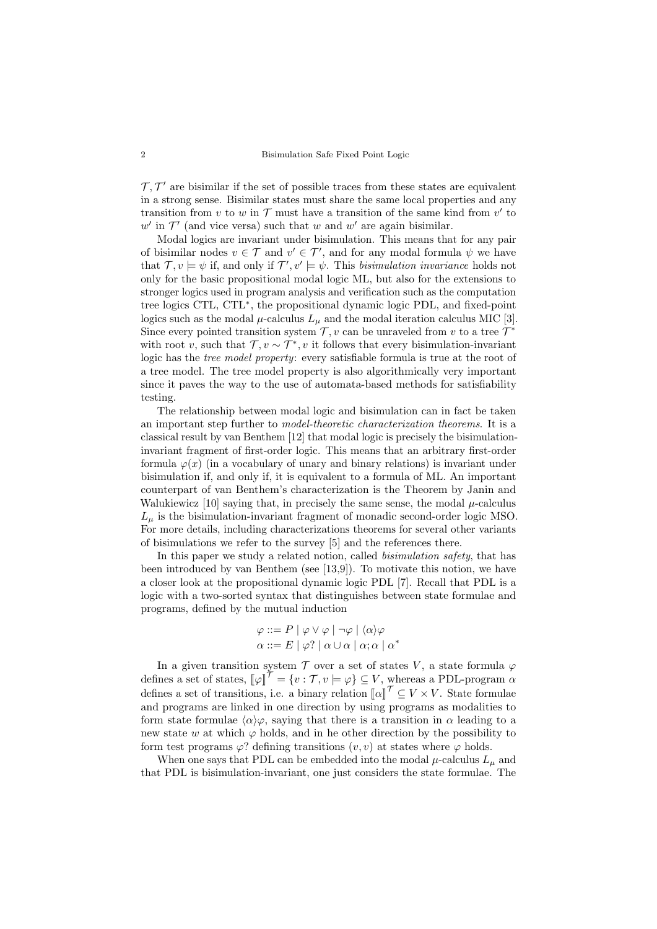### 2 Bisimulation Safe Fixed Point Logic

 $\mathcal{T}, \mathcal{T}'$  are bisimilar if the set of possible traces from these states are equivalent in a strong sense. Bisimilar states must share the same local properties and any transition from v to w in  $T$  must have a transition of the same kind from v' to  $w'$  in  $\mathcal{T}'$  (and vice versa) such that w and w' are again bisimilar.

Modal logics are invariant under bisimulation. This means that for any pair of bisimilar nodes  $v \in \mathcal{T}$  and  $v' \in \mathcal{T}'$ , and for any modal formula  $\psi$  we have that  $\mathcal{T}, v \models \psi$  if, and only if  $\mathcal{T}', v' \models \psi$ . This bisimulation invariance holds not only for the basic propositional modal logic ML, but also for the extensions to stronger logics used in program analysis and verification such as the computation tree logics CTL, CTL<sup>∗</sup> , the propositional dynamic logic PDL, and fixed-point logics such as the modal  $\mu$ -calculus  $L_{\mu}$  and the modal iteration calculus MIC [\[3\]](#page-14-0). Since every pointed transition system  $\mathcal{T}, v$  can be unraveled from v to a tree  $\mathcal{T}^*$ with root v, such that  $\mathcal{T}, v \sim \mathcal{T}^*$ , v it follows that every bisimulation-invariant logic has the tree model property: every satisfiable formula is true at the root of a tree model. The tree model property is also algorithmically very important since it paves the way to the use of automata-based methods for satisfiability testing.

The relationship between modal logic and bisimulation can in fact be taken an important step further to model-theoretic characterization theorems. It is a classical result by van Benthem [\[12\]](#page-14-1) that modal logic is precisely the bisimulationinvariant fragment of first-order logic. This means that an arbitrary first-order formula  $\varphi(x)$  (in a vocabulary of unary and binary relations) is invariant under bisimulation if, and only if, it is equivalent to a formula of ML. An important counterpart of van Benthem's characterization is the Theorem by Janin and Walukiewicz  $[10]$  saying that, in precisely the same sense, the modal  $\mu$ -calculus  $L_{\mu}$  is the bisimulation-invariant fragment of monadic second-order logic MSO. For more details, including characterizations theorems for several other variants of bisimulations we refer to the survey [\[5\]](#page-14-3) and the references there.

In this paper we study a related notion, called bisimulation safety, that has been introduced by van Benthem (see [\[13](#page-14-4)[,9\]](#page-14-5)). To motivate this notion, we have a closer look at the propositional dynamic logic PDL [\[7\]](#page-14-6). Recall that PDL is a logic with a two-sorted syntax that distinguishes between state formulae and programs, defined by the mutual induction

$$
\varphi ::= P | \varphi \vee \varphi | \neg \varphi | \langle \alpha \rangle \varphi
$$

$$
\alpha ::= E | \varphi? | \alpha \cup \alpha | \alpha; \alpha | \alpha^*
$$

In a given transition system  $\mathcal T$  over a set of states V, a state formula  $\varphi$ defines a set of states,  $[\![\varphi]\!]^{\mathcal{T}} = \{v : \mathcal{T}, v \models \varphi\} \subseteq V$ , whereas a PDL-program  $\alpha$ defines a set of transitions, i.e. a binary relation  $\llbracket \alpha \rrbracket^{\mathcal{T}} \subseteq V \times V$ . State formulae and programs are linked in one direction by using programs as modalities to form state formulae  $\langle \alpha \rangle \varphi$ , saying that there is a transition in  $\alpha$  leading to a new state w at which  $\varphi$  holds, and in he other direction by the possibility to form test programs  $\varphi$ ? defining transitions  $(v, v)$  at states where  $\varphi$  holds.

When one says that PDL can be embedded into the modal  $\mu$ -calculus  $L_{\mu}$  and that PDL is bisimulation-invariant, one just considers the state formulae. The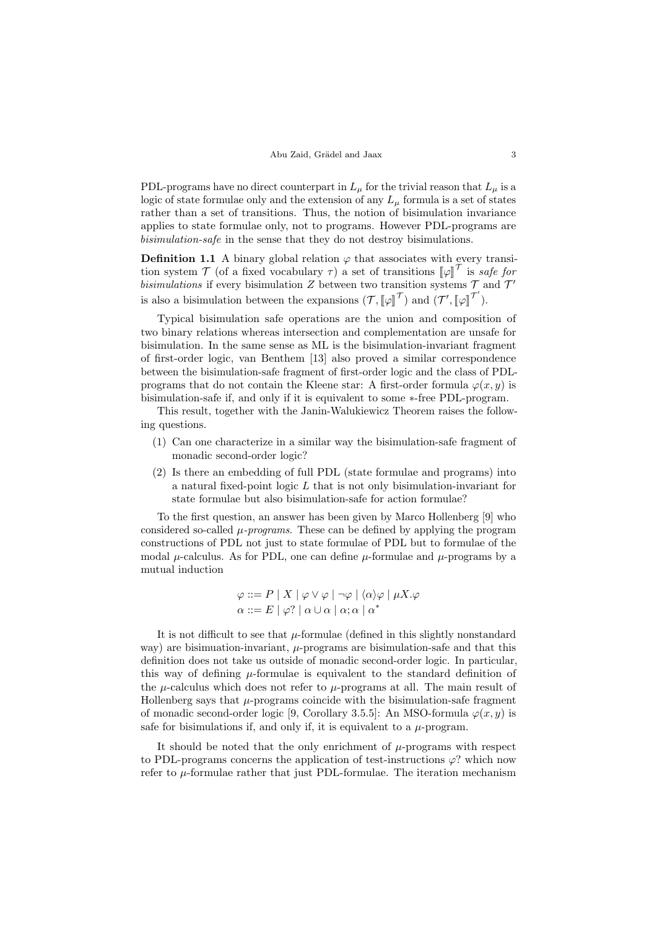PDL-programs have no direct counterpart in  $L_{\mu}$  for the trivial reason that  $L_{\mu}$  is a logic of state formulae only and the extension of any  $L<sub>u</sub>$  formula is a set of states rather than a set of transitions. Thus, the notion of bisimulation invariance applies to state formulae only, not to programs. However PDL-programs are bisimulation-safe in the sense that they do not destroy bisimulations.

**Definition 1.1** A binary global relation  $\varphi$  that associates with every transition system  $\mathcal{T}$  (of a fixed vocabulary  $\tau$ ) a set of transitions  $[\![\varphi]\!]^{\mathcal{T}}$  is safe for<br>highlations if grow biginulation Z between two transition gystems  $\mathcal{T}$  and  $\mathcal{T}'$ bisimulations if every bisimulation Z between two transition systems  $\mathcal T$  and  $\mathcal T'$ is also a bisimulation between the expansions  $(\mathcal{T}, \llbracket \varphi \rrbracket^{\mathcal{T}})$  and  $(\mathcal{T}', \llbracket \varphi \rrbracket^{\mathcal{T}'})$ .

Typical bisimulation safe operations are the union and composition of two binary relations whereas intersection and complementation are unsafe for bisimulation. In the same sense as ML is the bisimulation-invariant fragment of first-order logic, van Benthem [\[13\]](#page-14-4) also proved a similar correspondence between the bisimulation-safe fragment of first-order logic and the class of PDLprograms that do not contain the Kleene star: A first-order formula  $\varphi(x, y)$  is bisimulation-safe if, and only if it is equivalent to some ∗-free PDL-program.

This result, together with the Janin-Walukiewicz Theorem raises the following questions.

- (1) Can one characterize in a similar way the bisimulation-safe fragment of monadic second-order logic?
- (2) Is there an embedding of full PDL (state formulae and programs) into a natural fixed-point logic L that is not only bisimulation-invariant for state formulae but also bisimulation-safe for action formulae?

To the first question, an answer has been given by Marco Hollenberg [\[9\]](#page-14-5) who considered so-called  $\mu$ -programs. These can be defined by applying the program constructions of PDL not just to state formulae of PDL but to formulae of the modal  $\mu$ -calculus. As for PDL, one can define  $\mu$ -formulae and  $\mu$ -programs by a mutual induction

$$
\varphi ::= P \mid X \mid \varphi \lor \varphi \mid \neg \varphi \mid \langle \alpha \rangle \varphi \mid \mu X. \varphi
$$

$$
\alpha ::= E \mid \varphi? \mid \alpha \cup \alpha \mid \alpha; \alpha \mid \alpha^*
$$

It is not difficult to see that  $\mu$ -formulae (defined in this slightly nonstandard way) are bisimuation-invariant,  $\mu$ -programs are bisimulation-safe and that this definition does not take us outside of monadic second-order logic. In particular, this way of defining  $\mu$ -formulae is equivalent to the standard definition of the  $\mu$ -calculus which does not refer to  $\mu$ -programs at all. The main result of Hollenberg says that  $\mu$ -programs coincide with the bisimulation-safe fragment of monadic second-order logic [\[9,](#page-14-5) Corollary 3.5.5]: An MSO-formula  $\varphi(x, y)$  is safe for bisimulations if, and only if, it is equivalent to a  $\mu$ -program.

It should be noted that the only enrichment of  $\mu$ -programs with respect to PDL-programs concerns the application of test-instructions  $\varphi$ ? which now refer to  $\mu$ -formulae rather that just PDL-formulae. The iteration mechanism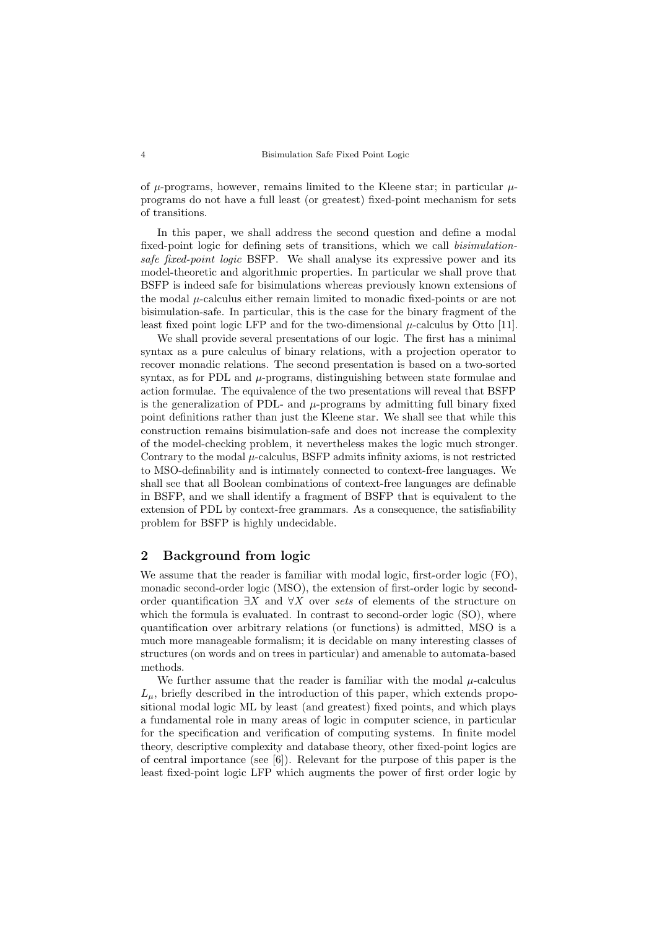of  $\mu$ -programs, however, remains limited to the Kleene star; in particular  $\mu$ programs do not have a full least (or greatest) fixed-point mechanism for sets of transitions.

In this paper, we shall address the second question and define a modal fixed-point logic for defining sets of transitions, which we call bisimulationsafe fixed-point logic BSFP. We shall analyse its expressive power and its model-theoretic and algorithmic properties. In particular we shall prove that BSFP is indeed safe for bisimulations whereas previously known extensions of the modal  $\mu$ -calculus either remain limited to monadic fixed-points or are not bisimulation-safe. In particular, this is the case for the binary fragment of the least fixed point logic LFP and for the two-dimensional  $\mu$ -calculus by Otto [\[11\]](#page-14-7).

We shall provide several presentations of our logic. The first has a minimal syntax as a pure calculus of binary relations, with a projection operator to recover monadic relations. The second presentation is based on a two-sorted syntax, as for PDL and  $\mu$ -programs, distinguishing between state formulae and action formulae. The equivalence of the two presentations will reveal that BSFP is the generalization of PDL- and  $\mu$ -programs by admitting full binary fixed point definitions rather than just the Kleene star. We shall see that while this construction remains bisimulation-safe and does not increase the complexity of the model-checking problem, it nevertheless makes the logic much stronger. Contrary to the modal  $\mu$ -calculus, BSFP admits infinity axioms, is not restricted to MSO-definability and is intimately connected to context-free languages. We shall see that all Boolean combinations of context-free languages are definable in BSFP, and we shall identify a fragment of BSFP that is equivalent to the extension of PDL by context-free grammars. As a consequence, the satisfiability problem for BSFP is highly undecidable.

## 2 Background from logic

We assume that the reader is familiar with modal logic, first-order logic (FO), monadic second-order logic (MSO), the extension of first-order logic by secondorder quantification  $\exists X$  and  $\forall X$  over sets of elements of the structure on which the formula is evaluated. In contrast to second-order logic (SO), where quantification over arbitrary relations (or functions) is admitted, MSO is a much more manageable formalism; it is decidable on many interesting classes of structures (on words and on trees in particular) and amenable to automata-based methods.

We further assume that the reader is familiar with the modal  $\mu$ -calculus  $L<sub>\mu</sub>$ , briefly described in the introduction of this paper, which extends propositional modal logic ML by least (and greatest) fixed points, and which plays a fundamental role in many areas of logic in computer science, in particular for the specification and verification of computing systems. In finite model theory, descriptive complexity and database theory, other fixed-point logics are of central importance (see [\[6\]](#page-14-8)). Relevant for the purpose of this paper is the least fixed-point logic LFP which augments the power of first order logic by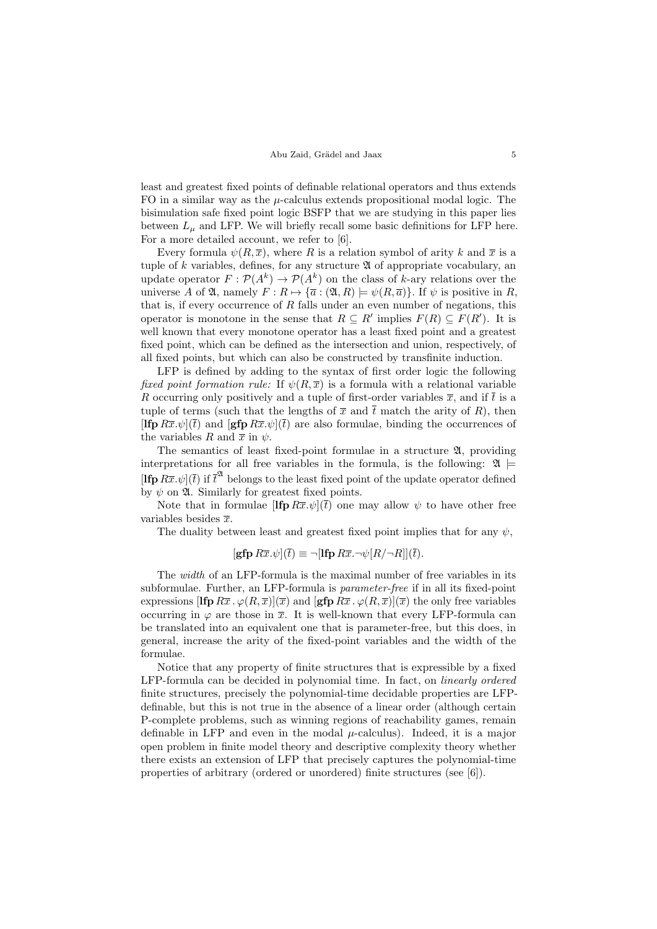least and greatest fixed points of definable relational operators and thus extends FO in a similar way as the  $\mu$ -calculus extends propositional modal logic. The bisimulation safe fixed point logic BSFP that we are studying in this paper lies between  $L_{\mu}$  and LFP. We will briefly recall some basic definitions for LFP here. For a more detailed account, we refer to [\[6\]](#page-14-8).

Every formula  $\psi(R,\overline{x})$ , where R is a relation symbol of arity k and  $\overline{x}$  is a tuple of k variables, defines, for any structure  $\mathfrak A$  of appropriate vocabulary, an update operator  $F: \mathcal{P}(A^k) \to \mathcal{P}(A^k)$  on the class of k-ary relations over the universe A of  $\mathfrak{A}$ , namely  $F: R \mapsto {\overline{a} : (\mathfrak{A}, R) \models \psi(R, \overline{a})}.$  If  $\psi$  is positive in R, that is, if every occurrence of  $R$  falls under an even number of negations, this operator is monotone in the sense that  $R \subseteq R'$  implies  $F(R) \subseteq F(R')$ . It is well known that every monotone operator has a least fixed point and a greatest fixed point, which can be defined as the intersection and union, respectively, of all fixed points, but which can also be constructed by transfinite induction.

LFP is defined by adding to the syntax of first order logic the following fixed point formation rule: If  $\psi(R,\overline{x})$  is a formula with a relational variable R occurring only positively and a tuple of first-order variables  $\bar{x}$ , and if  $\bar{t}$  is a tuple of terms (such that the lengths of  $\bar{x}$  and  $\bar{t}$  match the arity of R), then  $[\mathbf{Ifp} R\bar{x}.\psi](\bar{t})$  and  $[\mathbf{gfp} R\bar{x}.\psi](\bar{t})$  are also formulae, binding the occurrences of the variables R and  $\bar{x}$  in  $\psi$ .

The semantics of least fixed-point formulae in a structure  $\mathfrak{A}$ , providing interpretations for all free variables in the formula, is the following:  $\mathfrak{A} \models$ [If  $\widehat{P}R\overline{x}.\psi$ ]( $\overline{t}$ ) if  $\overline{t}^{\mathfrak{A}}$  belongs to the least fixed point of the update operator defined by  $\psi$  on  $\mathfrak{A}$ . Similarly for greatest fixed points.

Note that in formulae  $[\mathbf{Ifp} R\bar{x}.\psi](\bar{t})$  one may allow  $\psi$  to have other free variables besides  $\bar{x}$ .

The duality between least and greatest fixed point implies that for any  $\psi$ ,

$$
[\mathbf{gfp}\,R\overline{x}.\psi](\overline{t}) \equiv \neg[\mathbf{lfp}\,R\overline{x}.\neg\psi[R/\neg R]](\overline{t}).
$$

The *width* of an LFP-formula is the maximal number of free variables in its subformulae. Further, an LFP-formula is parameter-free if in all its fixed-point expressions  $[\mathbf{Ifp} R\overline{x} \cdot \varphi(R,\overline{x})](\overline{x})$  and  $[\mathbf{gfp} R\overline{x} \cdot \varphi(R,\overline{x})](\overline{x})$  the only free variables occurring in  $\varphi$  are those in  $\bar{x}$ . It is well-known that every LFP-formula can be translated into an equivalent one that is parameter-free, but this does, in general, increase the arity of the fixed-point variables and the width of the formulae.

Notice that any property of finite structures that is expressible by a fixed LFP-formula can be decided in polynomial time. In fact, on linearly ordered finite structures, precisely the polynomial-time decidable properties are LFPdefinable, but this is not true in the absence of a linear order (although certain P-complete problems, such as winning regions of reachability games, remain definable in LFP and even in the modal  $\mu$ -calculus). Indeed, it is a major open problem in finite model theory and descriptive complexity theory whether there exists an extension of LFP that precisely captures the polynomial-time properties of arbitrary (ordered or unordered) finite structures (see [\[6\]](#page-14-8)).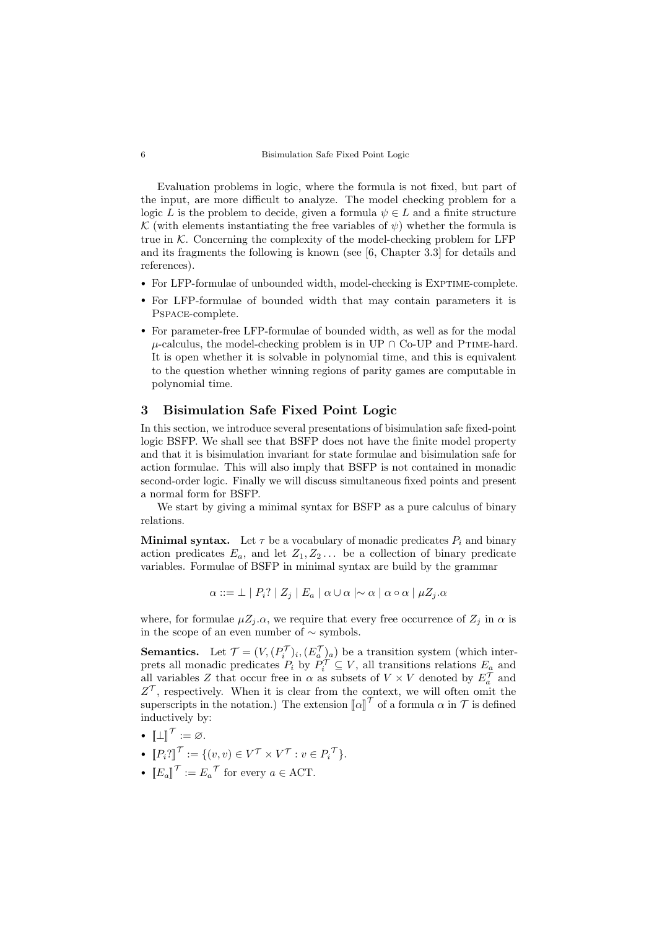Evaluation problems in logic, where the formula is not fixed, but part of the input, are more difficult to analyze. The model checking problem for a logic L is the problem to decide, given a formula  $\psi \in L$  and a finite structure K (with elements instantiating the free variables of  $\psi$ ) whether the formula is true in  $K$ . Concerning the complexity of the model-checking problem for LFP and its fragments the following is known (see [\[6,](#page-14-8) Chapter 3.3] for details and references).

- For LFP-formulae of unbounded width, model-checking is EXPTIME-complete.
- For LFP-formulae of bounded width that may contain parameters it is Pspace-complete.
- For parameter-free LFP-formulae of bounded width, as well as for the modal  $\mu$ -calculus, the model-checking problem is in UP  $\cap$  Co-UP and PTIME-hard. It is open whether it is solvable in polynomial time, and this is equivalent to the question whether winning regions of parity games are computable in polynomial time.

### 3 Bisimulation Safe Fixed Point Logic

In this section, we introduce several presentations of bisimulation safe fixed-point logic BSFP. We shall see that BSFP does not have the finite model property and that it is bisimulation invariant for state formulae and bisimulation safe for action formulae. This will also imply that BSFP is not contained in monadic second-order logic. Finally we will discuss simultaneous fixed points and present a normal form for BSFP.

We start by giving a minimal syntax for BSFP as a pure calculus of binary relations.

**Minimal syntax.** Let  $\tau$  be a vocabulary of monadic predicates  $P_i$  and binary action predicates  $E_a$ , and let  $Z_1, Z_2, \ldots$  be a collection of binary predicate variables. Formulae of BSFP in minimal syntax are build by the grammar

$$
\alpha ::= \bot \mid P_i? \mid Z_j \mid E_a \mid \alpha \cup \alpha \mid \sim \alpha \mid \alpha \circ \alpha \mid \mu Z_j.\alpha
$$

where, for formulae  $\mu Z_j \alpha$ , we require that every free occurrence of  $Z_j$  in  $\alpha$  is in the scope of an even number of ∼ symbols.

**Semantics.** Let  $\mathcal{T} = (V, (P_i^{\mathcal{T}})_i, (E_a^{\mathcal{T}})_a)$  be a transition system (which interprets all monadic predicates  $P_i$  by  $P_i^{\mathcal{T}} \subseteq V$ , all transitions relations  $E_a$  and all variables Z that occur free in  $\alpha$  as subsets of  $V \times V$  denoted by  $E_a^{\mathcal{T}}$  and  $Z^{\mathcal{T}}$ , respectively. When it is clear from the context, we will often omit the superscripts in the notation.) The extension  $\llbracket \alpha \rrbracket^{\mathcal{T}}$  of a formula  $\alpha$  in  $\mathcal{T}$  is defined<br>inductively by: inductively by:

- $\llbracket \perp \rrbracket$  $\tau := \varnothing$ .
- $[P_i]^{\mathcal{T}} := \{ (v, v) \in V^{\mathcal{T}} \times V^{\mathcal{T}} : v \in P_i^{\mathcal{T}} \}.$
- $\llbracket E_a \rrbracket^{\mathcal{T}} := E_a^{\mathcal{T}}$  for every  $a \in \text{ACT}$ .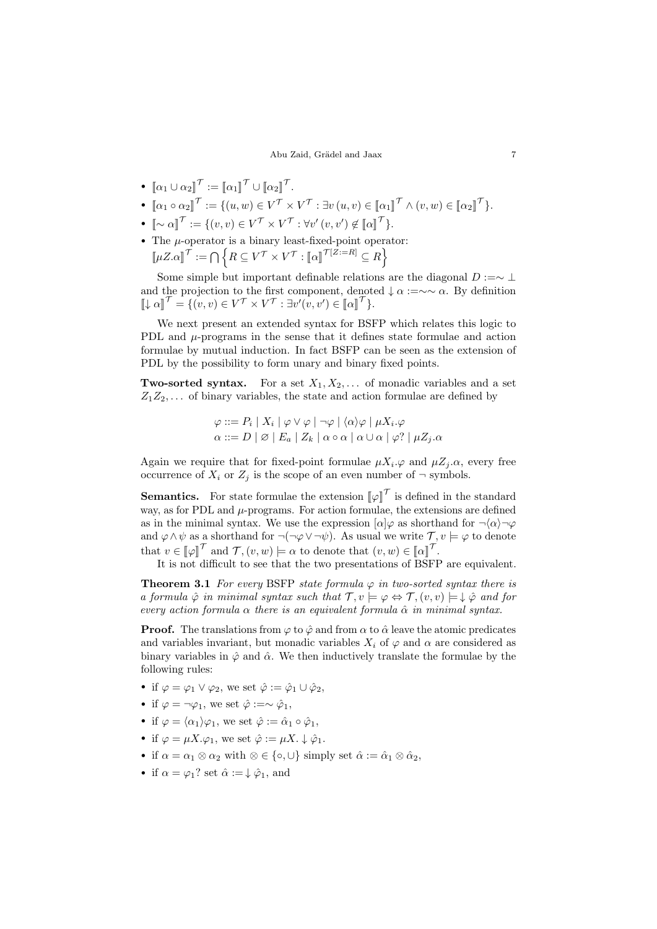### Abu Zaid, Grädel and Jaax 7

- $[\![\alpha_1 \cup \alpha_2]\!]^\mathcal{T} := [\![\alpha_1]\!]^\mathcal{T} \cup [\![\alpha_2]\!]^\mathcal{T}.$
- $[\![\alpha_1 \circ \alpha_2]\!]^\mathcal{T} := \{ (u, w) \in V^\mathcal{T} \times V^\mathcal{T} : \exists v (u, v) \in [\![\alpha_1]\!]^\mathcal{T} \wedge (v, w) \in [\![\alpha_2]\!]^\mathcal{T} \}.$
- $[\![ \sim \alpha ]\!]^\mathcal{T} := \{ (v,v) \in V^\mathcal{T} \times V^\mathcal{T} : \forall v' \, (v,v') \not\in [\![ \alpha ]\!]^\mathcal{T} \}.$
- The  $\mu$ -operator is a binary least-fixed-point operator:  $\llbracket \mu Z. \alpha \rrbracket^{\mathcal{T}} := \bigcap \left\{ R \subseteq V^{\mathcal{T}} \times V^{\mathcal{T}} : \llbracket \alpha \rrbracket^{\mathcal{T}[Z:=R]} \subseteq R \right\}$

Some simple but important definable relations are the diagonal  $D := \sim \bot$ and the projection to the first component, denoted  $\downarrow \alpha := \sim \alpha$ . By definition  $\llbracket \downarrow \alpha \rrbracket^{\mathcal{T}} = \{ (v, v) \in V^{\mathcal{T}} \times V^{\mathcal{T}} : \exists v'(v, v') \in [\llbracket \alpha \rrbracket^{\mathcal{T}} \}.$ 

We next present an extended syntax for BSFP which relates this logic to PDL and  $\mu$ -programs in the sense that it defines state formulae and action formulae by mutual induction. In fact BSFP can be seen as the extension of PDL by the possibility to form unary and binary fixed points.

**Two-sorted syntax.** For a set  $X_1, X_2, \ldots$  of monadic variables and a set  $Z_1Z_2,\ldots$  of binary variables, the state and action formulae are defined by

$$
\varphi ::= P_i | X_i | \varphi \vee \varphi | \neg \varphi | \langle \alpha \rangle \varphi | \mu X_i. \varphi
$$
  

$$
\alpha ::= D | \varnothing | E_a | Z_k | \alpha \circ \alpha | \alpha \cup \alpha | \varphi? | \mu Z_j. \alpha
$$

Again we require that for fixed-point formulae  $\mu X_i \varphi$  and  $\mu Z_j \alpha$ , every free occurrence of  $X_i$  or  $Z_j$  is the scope of an even number of  $\neg$  symbols.

**Semantics.** For state formulae the extension  $\llbracket \varphi \rrbracket^T$  is defined in the standard way, as for PDL and  $\mu$ -programs. For action formulae, the extensions are defined as in the minimal syntax. We use the expression  $\lbrack \alpha \rbrack \varphi$  as shorthand for  $\neg \langle \alpha \rangle \neg \varphi$ and  $\varphi \wedge \psi$  as a shorthand for  $\neg(\neg \varphi \vee \neg \psi)$ . As usual we write  $\mathcal{T}, v \models \varphi$  to denote that  $v \in [\![\varphi]\!]^\mathcal{T}$  and  $\mathcal{T}, (v, w) \models \alpha$  to denote that  $(v, w) \in [\![\alpha]\!]^\mathcal{T}$ .<br>It is not difficult to see that the two presentations of BSFL

It is not difficult to see that the two presentations of BSFP are equivalent.

<span id="page-6-0"></span>**Theorem 3.1** For every BSFP state formula  $\varphi$  in two-sorted syntax there is a formula  $\hat{\varphi}$  in minimal syntax such that  $\mathcal{T}, v \models \varphi \Leftrightarrow \mathcal{T}, (v, v) \models \downarrow \hat{\varphi}$  and for every action formula  $\alpha$  there is an equivalent formula  $\hat{\alpha}$  in minimal syntax.

**Proof.** The translations from  $\varphi$  to  $\hat{\varphi}$  and from  $\alpha$  to  $\hat{\alpha}$  leave the atomic predicates and variables invariant, but monadic variables  $X_i$  of  $\varphi$  and  $\alpha$  are considered as binary variables in  $\hat{\varphi}$  and  $\hat{\alpha}$ . We then inductively translate the formulae by the following rules:

- if  $\varphi = \varphi_1 \vee \varphi_2$ , we set  $\hat{\varphi} := \hat{\varphi}_1 \cup \hat{\varphi}_2$ ,
- if  $\varphi = \neg \varphi_1$ , we set  $\hat{\varphi} := \sim \hat{\varphi}_1$ ,
- if  $\varphi = \langle \alpha_1 \rangle \varphi_1$ , we set  $\hat{\varphi} := \hat{\alpha}_1 \circ \hat{\varphi}_1$ ,
- if  $\varphi = \mu X \cdot \varphi_1$ , we set  $\hat{\varphi} := \mu X \cdot \downarrow \hat{\varphi}_1$ .
- if  $\alpha = \alpha_1 \otimes \alpha_2$  with  $\otimes \in \{\circ, \cup\}$  simply set  $\hat{\alpha} := \hat{\alpha}_1 \otimes \hat{\alpha}_2$ ,
- if  $\alpha = \varphi_1$ ? set  $\hat{\alpha} := \downarrow \hat{\varphi}_1$ , and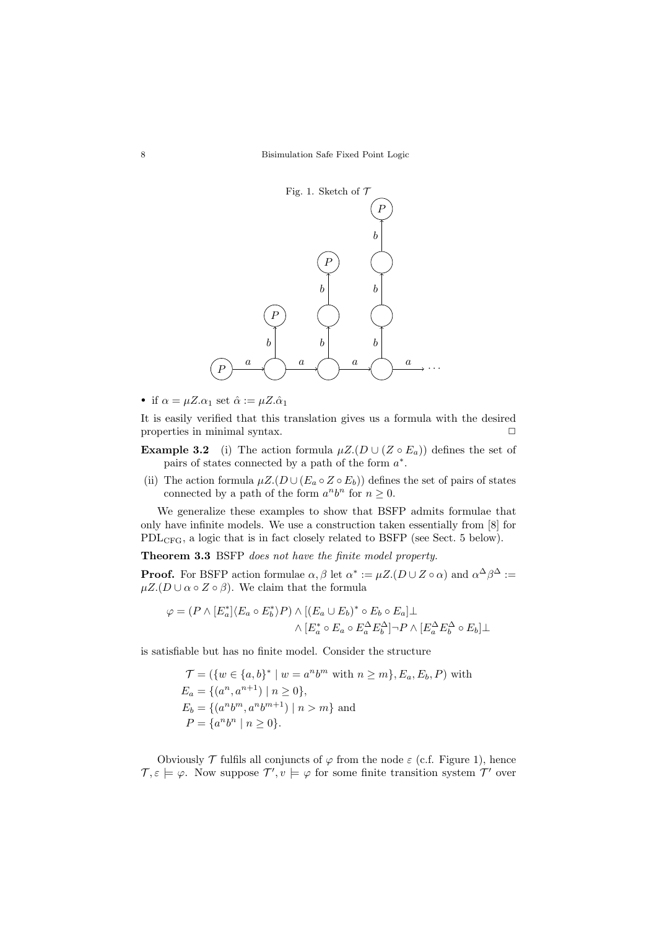<span id="page-7-0"></span>

• if  $\alpha = \mu Z.\alpha_1$  set  $\hat{\alpha} := \mu Z.\hat{\alpha}_1$ 

It is easily verified that this translation gives us a formula with the desired properties in minimal syntax.  $\Box$ 

- **Example 3.2** (i) The action formula  $\mu Z.(D \cup (Z \circ E_a))$  defines the set of pairs of states connected by a path of the form  $a^*$ .
- (ii) The action formula  $\mu Z.(D \cup (E_a \circ Z \circ E_b))$  defines the set of pairs of states connected by a path of the form  $a^n b^n$  for  $n \geq 0$ .

We generalize these examples to show that BSFP admits formulae that only have infinite models. We use a construction taken essentially from [\[8\]](#page-14-9) for PDLCFG, a logic that is in fact closely related to BSFP (see Sect. [5](#page-11-0) below).

<span id="page-7-1"></span>Theorem 3.3 BSFP does not have the finite model property.

**Proof.** For BSFP action formulae  $\alpha, \beta$  let  $\alpha^* := \mu Z.(D \cup Z \circ \alpha)$  and  $\alpha^{\Delta} \beta^{\Delta} :=$  $\mu Z. (D \cup \alpha \circ Z \circ \beta)$ . We claim that the formula

$$
\varphi = (P \wedge [E_a^*] \langle E_a \circ E_b^* \rangle P) \wedge [(E_a \cup E_b)^* \circ E_b \circ E_a] \bot
$$

$$
\wedge [E_a^* \circ E_a \circ E_a^{\Delta} E_b^{\Delta}] \neg P \wedge [E_a^{\Delta} E_b^{\Delta} \circ E_b] \bot
$$

is satisfiable but has no finite model. Consider the structure

$$
\mathcal{T} = (\{w \in \{a, b\}^* \mid w = a^n b^m \text{ with } n \ge m\}, E_a, E_b, P) \text{ with } E_a = \{(a^n, a^{n+1}) \mid n \ge 0\},
$$
  
\n
$$
E_b = \{(a^n b^m, a^n b^{m+1}) \mid n > m\} \text{ and }
$$
  
\n
$$
P = \{a^n b^n \mid n \ge 0\}.
$$

Obviously  $\mathcal T$  fulfils all conjuncts of  $\varphi$  from the node  $\varepsilon$  (c.f. Figure [1\)](#page-7-0), hence  $\mathcal{T}, \varepsilon \models \varphi$ . Now suppose  $\mathcal{T}', v \models \varphi$  for some finite transition system  $\mathcal{T}'$  over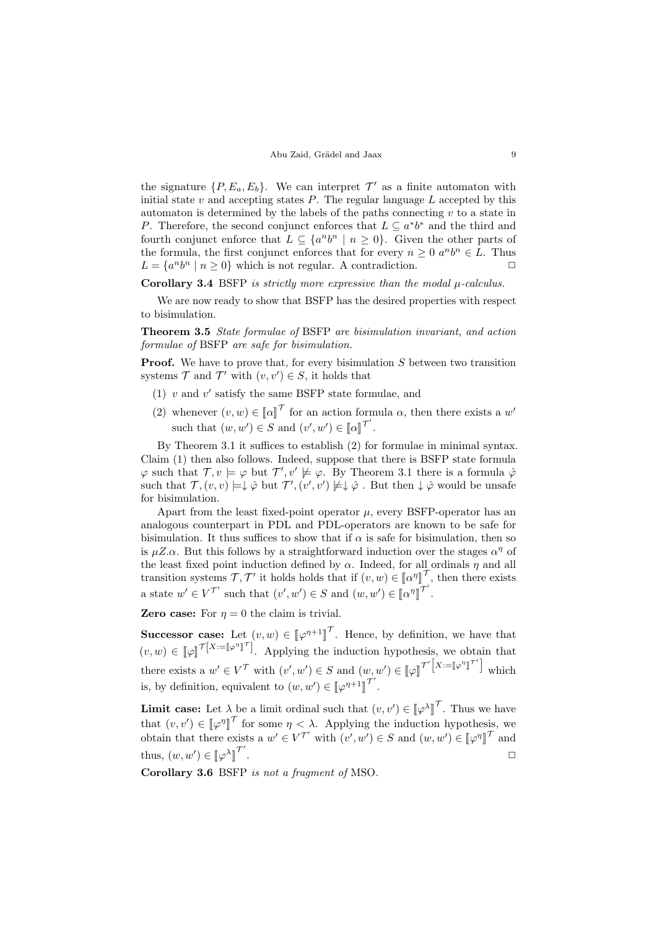the signature  $\{P, E_a, E_b\}$ . We can interpret  $\mathcal{T}'$  as a finite automaton with initial state v and accepting states  $P$ . The regular language  $L$  accepted by this automaton is determined by the labels of the paths connecting  $v$  to a state in P. Therefore, the second conjunct enforces that  $L \subseteq a^*b^*$  and the third and fourth conjunct enforce that  $L \subseteq \{a^n b^n \mid n \geq 0\}$ . Given the other parts of the formula, the first conjunct enforces that for every  $n \geq 0$   $a^n b^n \in L$ . Thus  $L = \{a^n b^n \mid n \ge 0\}$  which is not regular. A contradiction.

Corollary 3.4 BSFP is strictly more expressive than the modal  $\mu$ -calculus.

We are now ready to show that BSFP has the desired properties with respect to bisimulation.

Theorem 3.5 State formulae of BSFP are bisimulation invariant, and action formulae of BSFP are safe for bisimulation.

**Proof.** We have to prove that, for every bisimulation S between two transition systems  $\mathcal T$  and  $\mathcal T'$  with  $(v, v') \in S$ , it holds that

- (1)  $v$  and  $v'$  satisfy the same BSFP state formulae, and
- (2) whenever  $(v, w) \in [\![\alpha]\!]^\mathcal{T}$  for an action formula  $\alpha$ , then there exists a w' such that  $(w, w') \in S$  and  $(v', w') \in [\![\alpha]\!]^{\mathcal{T'}}$ .

By Theorem [3.1](#page-6-0) it suffices to establish (2) for formulae in minimal syntax. Claim (1) then also follows. Indeed, suppose that there is BSFP state formula  $\varphi$  such that  $\mathcal{T}, v \models \varphi$  but  $\mathcal{T}', v' \not\models \varphi$ . By Theorem [3.1](#page-6-0) there is a formula  $\varphi$ such that  $\mathcal{T}, (v, v) \models \downarrow \hat{\varphi}$  but  $\mathcal{T}', (v', v') \not\models \downarrow \hat{\varphi}$ . But then  $\downarrow \hat{\varphi}$  would be unsafe for bisimulation.

Apart from the least fixed-point operator  $\mu$ , every BSFP-operator has an analogous counterpart in PDL and PDL-operators are known to be safe for bisimulation. It thus suffices to show that if  $\alpha$  is safe for bisimulation, then so is  $\mu Z.\alpha$ . But this follows by a straightforward induction over the stages  $\alpha^{\eta}$  of the least fixed point induction defined by  $\alpha$ . Indeed, for all ordinals  $\eta$  and all transition systems  $\mathcal{T}, \mathcal{T}'$  it holds holds that if  $(v, w) \in [\![\alpha^n]\!]$ لا<br>أ  $\tau$ , then there exists a state  $w' \in V^{\mathcal{T}'}$  such that  $(v', w') \in S$  and  $(w, w') \in [\![\alpha^{\eta}$ l<br>I  $\tilde{\tau}'$ .

**Zero case:** For  $\eta = 0$  the claim is trivial.

**Successor case:** Let  $(v, w) \in [\![\varphi^{\eta+1}]\!]$ l<br>I  $\tau$ . Hence, by definition, we have that  $(v, w) \in [\![\varphi]\!]^{\mathcal{T}[X := [\![\varphi^\eta]\!]^{\mathcal{T}}]}$ . Applying the induction hypothesis, we obtain that there exists a  $w' \in V^{\mathcal{T}}$  with  $(v', w') \in S$  and  $(w, w') \in [\![\varphi]\!]^{\mathcal{T}'}^{\left[X;=\llbracket\varphi^\eta\rrbracket\right]}$  $\sigma$ <sup>'</sup>] which is, by definition, equivalent to  $(w, w') \in [\![ \varphi^{\eta+1}$ l<br>I  $\tau'$ .

**Limit case:** Let  $\lambda$  be a limit ordinal such that  $(v, v') \in [\varphi^{\lambda}]^{\mathcal{T}}$ . Thus we have that  $(v, v') \in [\![\varphi^n]\!]^\mathcal{T}$  for some  $\eta < \lambda$ . Applying the induction hypothesis, we detected that the induction of  $\mathbb{R}^n$ . obtain that there exists a  $w' \in V^{\mathcal{T}}'$  with  $(v', w') \in S$  and  $(w, w') \in [\varphi^n]$ l<br>I  $\tau$  and thus,  $(w, w') \in [\![\varphi^{\lambda}]\!]^{\mathcal{T}'}$ l<br>L . The contract of the contract of  $\Box$ 

Corollary 3.6 BSFP is not a fragment of MSO.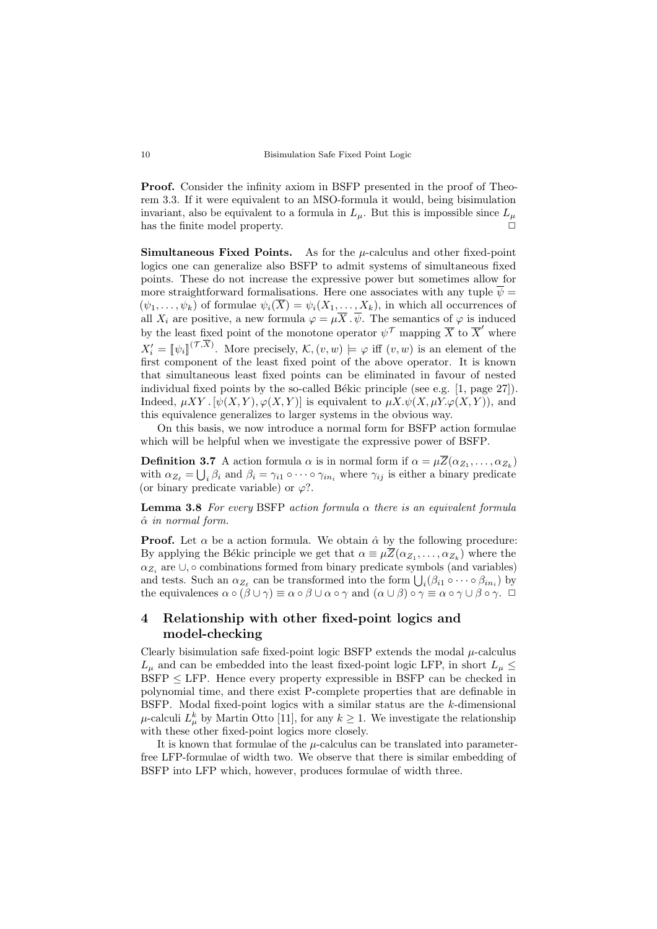Proof. Consider the infinity axiom in BSFP presented in the proof of Theorem [3.3.](#page-7-1) If it were equivalent to an MSO-formula it would, being bisimulation invariant, also be equivalent to a formula in  $L<sub>u</sub>$ . But this is impossible since  $L<sub>u</sub>$ has the finite model property.  $\Box$ 

**Simultaneous Fixed Points.** As for the  $\mu$ -calculus and other fixed-point logics one can generalize also BSFP to admit systems of simultaneous fixed points. These do not increase the expressive power but sometimes allow for more straightforward formalisations. Here one associates with any tuple  $\overline{\psi} =$  $(\psi_1, \ldots, \psi_k)$  of formulae  $\psi_i(X) = \psi_i(X_1, \ldots, X_k)$ , in which all occurrences of all  $X_i$  are positive, a new formula  $\varphi = \mu \overline{X} \cdot \overline{\psi}$ . The semantics of  $\varphi$  is induced by the least fixed point of the monotone operator  $\psi^{\mathcal{T}}$  mapping  $\overline{X}$  to  $\overline{X}'$  where  $X_i' = \llbracket \psi_i \rrbracket^{(\mathcal{T}, X)}$ . More precisely,  $\mathcal{K}, (v, w) \models \varphi$  iff  $(v, w)$  is an element of the first component of the loss fixed point of the above operator. It is known first component of the least fixed point of the above operator. It is known that simultaneous least fixed points can be eliminated in favour of nested individual fixed points by the so-called Békic principle (see e.g.  $[1, \text{page 27}]$ ). Indeed,  $\mu XY$ .  $[\psi(X, Y), \varphi(X, Y)]$  is equivalent to  $\mu X.\psi(X, \mu Y.\varphi(X, Y))$ , and this equivalence generalizes to larger systems in the obvious way.

On this basis, we now introduce a normal form for BSFP action formulae which will be helpful when we investigate the expressive power of BSFP.

**Definition 3.7** A action formula  $\alpha$  is in normal form if  $\alpha = \mu Z(\alpha_{Z_1}, \dots, \alpha_{Z_k})$ with  $\alpha_{Z_\ell} = \bigcup_i \beta_i$  and  $\beta_i = \gamma_{i1} \circ \cdots \circ \gamma_{in_i}$  where  $\gamma_{ij}$  is either a binary predicate (or binary predicate variable) or  $\varphi$ ?.

<span id="page-9-0"></span>**Lemma 3.8** For every BSFP action formula  $\alpha$  there is an equivalent formula  $\hat{\alpha}$  in normal form.

**Proof.** Let  $\alpha$  be a action formula. We obtain  $\hat{\alpha}$  by the following procedure: By applying the Békic principle we get that  $\alpha \equiv \mu Z(\alpha_{Z_1}, \ldots, \alpha_{Z_k})$  where the  $\alpha_{Z_i}$  are  $\cup$ ,  $\circ$  combinations formed from binary predicate symbols (and variables) and tests. Such an  $\alpha_{Z_\ell}$  can be transformed into the form  $\bigcup_i (\beta_{i1} \circ \cdots \circ \beta_{in_i})$  by the equivalences  $\alpha \circ (\beta \cup \gamma) \equiv \alpha \circ \beta \cup \alpha \circ \gamma$  and  $(\alpha \cup \beta) \circ \gamma \equiv \alpha \circ \gamma \cup \beta \circ \gamma$ .  $\Box$ 

## 4 Relationship with other fixed-point logics and model-checking

Clearly bisimulation safe fixed-point logic BSFP extends the modal  $\mu$ -calculus  $L_u$  and can be embedded into the least fixed-point logic LFP, in short  $L_u \leq$  $BSFP \le LFP$ . Hence every property expressible in BSFP can be checked in polynomial time, and there exist P-complete properties that are definable in BSFP. Modal fixed-point logics with a similar status are the  $k$ -dimensional  $\mu$ -calculi  $L^k_\mu$  by Martin Otto [\[11\]](#page-14-7), for any  $k \geq 1$ . We investigate the relationship with these other fixed-point logics more closely.

It is known that formulae of the  $\mu$ -calculus can be translated into parameterfree LFP-formulae of width two. We observe that there is similar embedding of BSFP into LFP which, however, produces formulae of width three.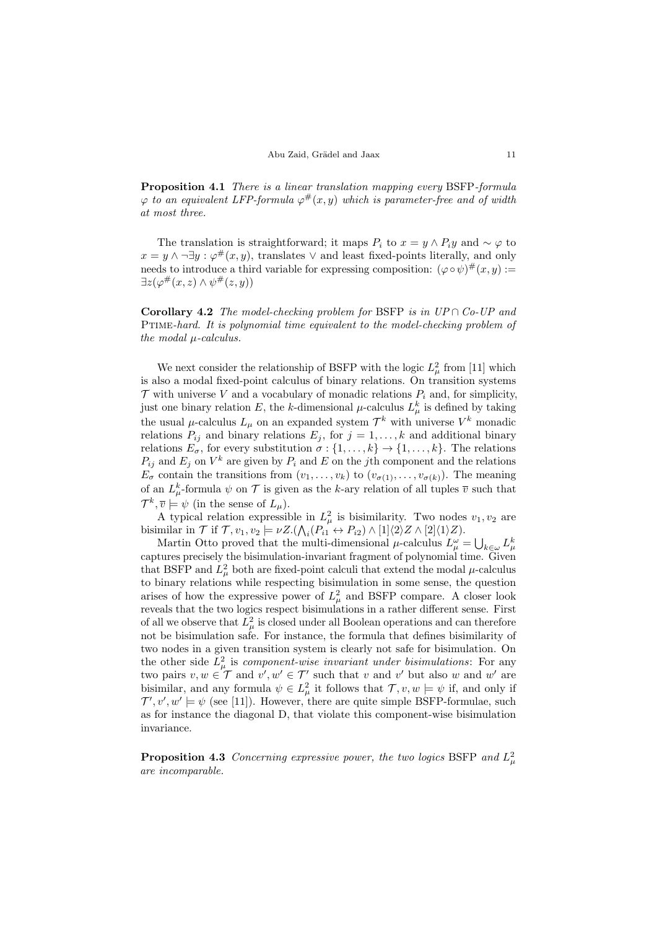Proposition 4.1 There is a linear translation mapping every BSFP-formula  $\varphi$  to an equivalent LFP-formula  $\varphi^{\#}(x,y)$  which is parameter-free and of width at most three.

The translation is straightforward; it maps  $P_i$  to  $x = y \wedge P_i y$  and  $\sim \varphi$  to  $x = y \wedge \neg \exists y : \varphi^{\#}(x, y)$ , translates  $\vee$  and least fixed-points literally, and only needs to introduce a third variable for expressing composition:  $(\varphi \circ \psi)^\#(x, y) :=$  $\exists z (\varphi^{\#}(x,z) \wedge \psi^{\#}(z,y))$ 

**Corollary 4.2** The model-checking problem for BSFP is in  $UP \cap Co$ -UP and Ptime-hard. It is polynomial time equivalent to the model-checking problem of the modal µ-calculus.

We next consider the relationship of BSFP with the logic  $L^2_\mu$  from [\[11\]](#page-14-7) which is also a modal fixed-point calculus of binary relations. On transition systems  $\mathcal T$  with universe V and a vocabulary of monadic relations  $P_i$  and, for simplicity, just one binary relation E, the k-dimensional  $\mu$ -calculus  $L^k_\mu$  is defined by taking the usual  $\mu$ -calculus  $L_{\mu}$  on an expanded system  $\mathcal{T}^k$  with universe  $V^k$  monadic relations  $P_{ij}$  and binary relations  $E_j$ , for  $j = 1, ..., k$  and additional binary relations  $E_{\sigma}$ , for every substitution  $\sigma : \{1, \ldots, k\} \to \{1, \ldots, k\}$ . The relations  $P_{ij}$  and  $E_j$  on  $V^k$  are given by  $P_i$  and  $E$  on the j<sup>th</sup> component and the relations  $E_{\sigma}$  contain the transitions from  $(v_1, \ldots, v_k)$  to  $(v_{\sigma(1)}, \ldots, v_{\sigma(k)})$ . The meaning of an  $L^k_\mu$ -formula  $\psi$  on  $\mathcal T$  is given as the k-ary relation of all tuples  $\overline{v}$  such that  $\mathcal{T}^k, \overline{v} \models \psi$  (in the sense of  $L_\mu$ ).

A typical relation expressible in  $L^2_\mu$  is bisimilarity. Two nodes  $v_1, v_2$  are bisimilar in  $\mathcal T$  if  $\mathcal T, v_1, v_2 \models \nu Z.(\bigwedge_i (P_{i1} \leftrightarrow P_{i2}) \wedge [1]\langle 2\rangle Z \wedge [2]\langle 1\rangle Z).$ 

Martin Otto proved that the multi-dimensional  $\mu$ -calculus  $L^{\omega}_{\mu} = \bigcup_{k \in \omega} L^k_{\mu}$ captures precisely the bisimulation-invariant fragment of polynomial time. Given that BSFP and  $L^2_\mu$  both are fixed-point calculi that extend the modal  $\mu$ -calculus to binary relations while respecting bisimulation in some sense, the question arises of how the expressive power of  $L^2_\mu$  and BSFP compare. A closer look reveals that the two logics respect bisimulations in a rather different sense. First of all we observe that  $L^2_\mu$  is closed under all Boolean operations and can therefore not be bisimulation safe. For instance, the formula that defines bisimilarity of two nodes in a given transition system is clearly not safe for bisimulation. On the other side  $L^2_\mu$  is *component-wise invariant under bisimulations*: For any two pairs  $v, w \in \mathcal{T}$  and  $v', w' \in \mathcal{T}'$  such that v and v' but also w and w' are bisimilar, and any formula  $\psi \in L^2_\mu$  it follows that  $\mathcal{T}, v, w \models \psi$  if, and only if  $\mathcal{T}', v', w' \models \psi$  (see [\[11\]](#page-14-7)). However, there are quite simple BSFP-formulae, such as for instance the diagonal D, that violate this component-wise bisimulation invariance.

**Proposition 4.3** Concerning expressive power, the two logics BSFP and  $L^2_{\mu}$ are incomparable.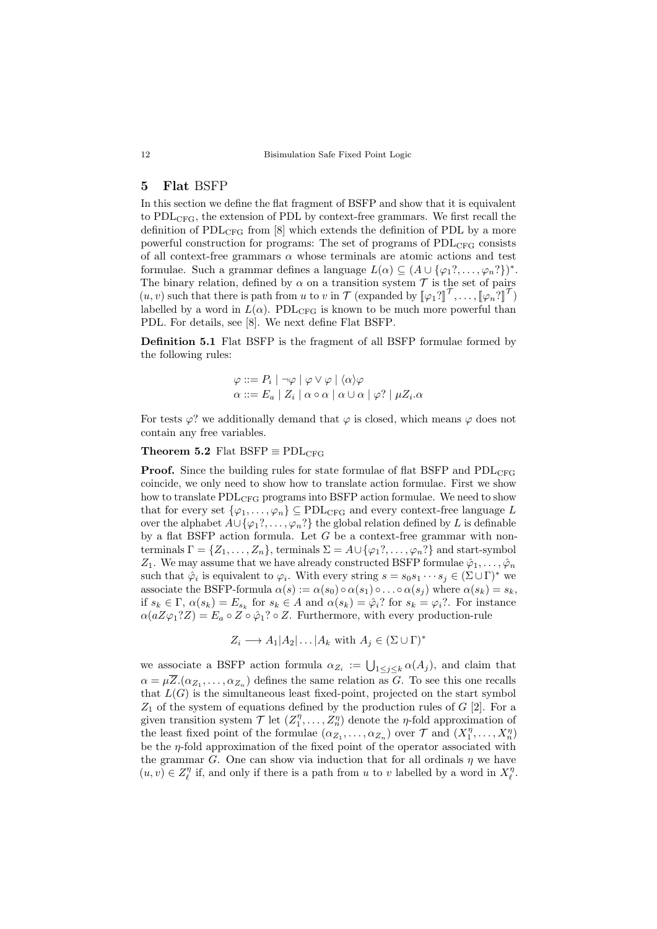## <span id="page-11-0"></span>5 Flat BSFP

In this section we define the flat fragment of BSFP and show that it is equivalent to  $PDL<sub>CFG</sub>$ , the extension of PDL by context-free grammars. We first recall the definition of  $PDL_{CFG}$  from [\[8\]](#page-14-9) which extends the definition of PDL by a more powerful construction for programs: The set of programs of PDL<sub>CFG</sub> consists of all context-free grammars  $\alpha$  whose terminals are atomic actions and test formulae. Such a grammar defines a language  $L(\alpha) \subseteq (A \cup \{\varphi_1?,\ldots,\varphi_n? \})^*$ . The binary relation, defined by  $\alpha$  on a transition system  $\mathcal T$  is the set of pairs  $(u, v)$  such that there is path from u to v in  $\mathcal{T}$  (expanded by  $[\varphi_1?][\mathcal{T}, \ldots, [\varphi_n?][\mathcal{T}]$ )<br>labelled by a word in  $I(x)$ . PDI see is known to be much more powerful than labelled by a word in  $L(\alpha)$ . PDL<sub>CFG</sub> is known to be much more powerful than PDL. For details, see [\[8\]](#page-14-9). We next define Flat BSFP.

Definition 5.1 Flat BSFP is the fragment of all BSFP formulae formed by the following rules:

$$
\varphi ::= P_i | \neg \varphi | \varphi \lor \varphi | \langle \alpha \rangle \varphi
$$

$$
\alpha ::= E_a | Z_i | \alpha \circ \alpha | \alpha \cup \alpha | \varphi? | \mu Z_i.\alpha
$$

For tests  $\varphi$ ? we additionally demand that  $\varphi$  is closed, which means  $\varphi$  does not contain any free variables.

### <span id="page-11-1"></span>Theorem 5.2 Flat BSFP  $\equiv$  PDL<sub>CFG</sub>

**Proof.** Since the building rules for state formulae of flat BSFP and  $PDL_{CFG}$ coincide, we only need to show how to translate action formulae. First we show how to translate  $PDL<sub>CFG</sub>$  programs into BSFP action formulae. We need to show that for every set  $\{\varphi_1,\ldots,\varphi_n\} \subseteq \text{PDL}_{\text{CFG}}$  and every context-free language L over the alphabet  $A\cup{\varphi_1}^2,\ldots,\varphi_n^2$  the global relation defined by L is definable by a flat BSFP action formula. Let  $G$  be a context-free grammar with nonterminals  $\Gamma = \{Z_1, \ldots, Z_n\}$ , terminals  $\Sigma = A \cup \{\varphi_1, \ldots, \varphi_n\}$  and start-symbol  $Z_1$ . We may assume that we have already constructed BSFP formulae  $\hat{\varphi}_1, \ldots, \hat{\varphi}_n$ such that  $\hat{\varphi}_i$  is equivalent to  $\varphi_i$ . With every string  $s = s_0 s_1 \cdots s_j \in (\Sigma \cup \Gamma)^*$  we associate the BSFP-formula  $\alpha(s) := \alpha(s_0) \circ \alpha(s_1) \circ \ldots \circ \alpha(s_j)$  where  $\alpha(s_k) = s_k$ , if  $s_k \in \Gamma$ ,  $\alpha(s_k) = E_{s_k}$  for  $s_k \in A$  and  $\alpha(s_k) = \hat{\varphi}_i$ ? for  $s_k = \varphi_i$ ?. For instance  $\alpha(aZ\varphi_1?Z) = E_a \circ Z \circ \hat{\varphi}_1? \circ Z$ . Furthermore, with every production-rule

$$
Z_i \longrightarrow A_1 | A_2 | \dots | A_k \text{ with } A_j \in (\Sigma \cup \Gamma)^*
$$

we associate a BSFP action formula  $\alpha_{Z_i} := \bigcup_{1 \leq j \leq k} \alpha(A_j)$ , and claim that  $\alpha = \mu \overline{Z}.(\alpha_{Z_1}, \ldots, \alpha_{Z_n})$  defines the same relation as G. To see this one recalls that  $L(G)$  is the simultaneous least fixed-point, projected on the start symbol  $Z_1$  of the system of equations defined by the production rules of  $G$  [\[2\]](#page-14-11). For a given transition system  $\mathcal{T}$  let  $(Z_1^n, \ldots, Z_n^n)$  denote the  $\eta$ -fold approximation of the least fixed point of the formulae  $(\alpha_{Z_1}, \ldots, \alpha_{Z_n})$  over  $\mathcal T$  and  $(X_1^{\eta}, \ldots, X_n^{\eta})$ be the  $\eta$ -fold approximation of the fixed point of the operator associated with the grammar G. One can show via induction that for all ordinals  $\eta$  we have  $(u, v) \in Z_{\ell}^{\eta}$  if, and only if there is a path from u to v labelled by a word in  $X_{\ell}^{\eta}$ .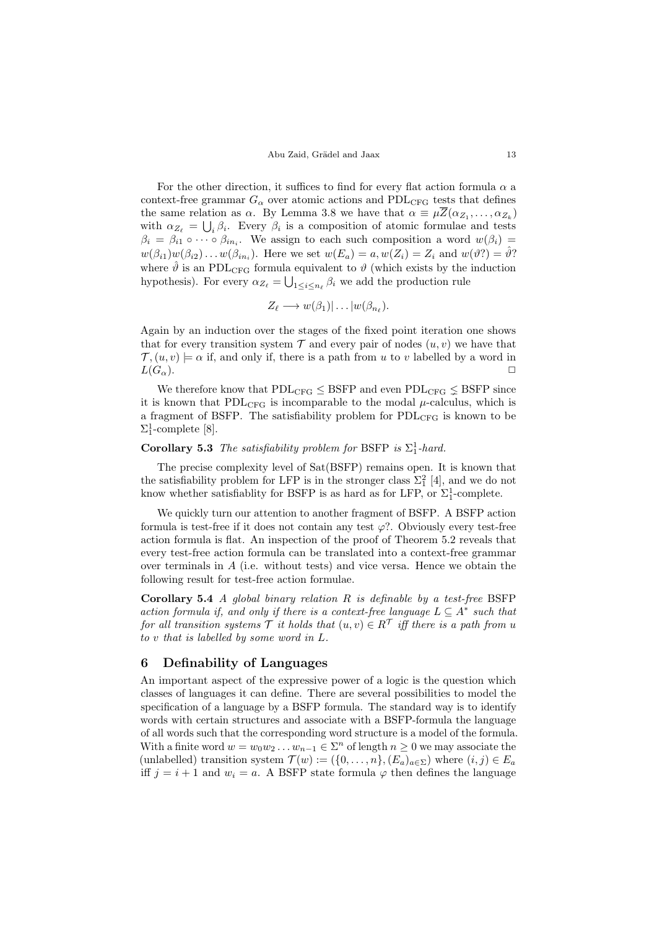#### Abu Zaid, Grädel and Jaax 13

For the other direction, it suffices to find for every flat action formula  $\alpha$  a context-free grammar  $G_{\alpha}$  over atomic actions and PDL<sub>CFG</sub> tests that defines the same relation as  $\alpha$ . By Lemma [3.8](#page-9-0) we have that  $\alpha \equiv \mu \overline{Z}(\alpha_{Z_1}, \ldots, \alpha_{Z_k})$ with  $\alpha_{Z_\ell} = \bigcup_i \beta_i$ . Every  $\beta_i$  is a composition of atomic formulae and tests  $\beta_i = \beta_{i1} \circ \cdots \circ \beta_{in_i}$ . We assign to each such composition a word  $w(\beta_i) =$  $w(\beta_{i1})w(\beta_{i2})\dots w(\beta_{in_i})$ . Here we set  $w(E_a) = a, w(Z_i) = Z_i$  and  $w(\vartheta_i) = \hat{\vartheta}$ ? where  $\hat{\theta}$  is an PDL<sub>CFG</sub> formula equivalent to  $\theta$  (which exists by the induction hypothesis). For every  $\alpha_{Z_\ell} = \bigcup_{1 \leq i \leq n_\ell} \beta_i$  we add the production rule

$$
Z_{\ell} \longrightarrow w(\beta_1)| \dots |w(\beta_{n_{\ell}}).
$$

Again by an induction over the stages of the fixed point iteration one shows that for every transition system  $\mathcal T$  and every pair of nodes  $(u, v)$  we have that  $\mathcal{T}, (u, v) \models \alpha$  if, and only if, there is a path from u to v labelled by a word in  $L(G_\alpha)$ .

We therefore know that  $PDL_{CFG} \leq BSFP$  and even  $PDL_{CFG} \leq BSFP$  since it is known that  $PDL_{CFG}$  is incomparable to the modal  $\mu$ -calculus, which is a fragment of BSFP. The satisfiability problem for PDL<sub>CFG</sub> is known to be  $\Sigma_1^1$ -complete [\[8\]](#page-14-9).

## **Corollary 5.3** The satisfiability problem for BSFP is  $\Sigma_1^1$ -hard.

The precise complexity level of Sat(BSFP) remains open. It is known that the satisfiability problem for LFP is in the stronger class  $\Sigma_1^2$  [\[4\]](#page-14-12), and we do not know whether satisfiablity for BSFP is as hard as for LFP, or  $\Sigma_1^1$ -complete.

We quickly turn our attention to another fragment of BSFP. A BSFP action formula is test-free if it does not contain any test  $\varphi$ ?. Obviously every test-free action formula is flat. An inspection of the proof of Theorem [5.2](#page-11-1) reveals that every test-free action formula can be translated into a context-free grammar over terminals in  $A$  (i.e. without tests) and vice versa. Hence we obtain the following result for test-free action formulae.

<span id="page-12-0"></span>Corollary 5.4 A global binary relation  $R$  is definable by a test-free BSFP action formula if, and only if there is a context-free language  $L \subseteq A^*$  such that for all transition systems  $\mathcal T$  it holds that  $(u, v) \in R^{\mathcal T}$  iff there is a path from u to v that is labelled by some word in L.

## 6 Definability of Languages

An important aspect of the expressive power of a logic is the question which classes of languages it can define. There are several possibilities to model the specification of a language by a BSFP formula. The standard way is to identify words with certain structures and associate with a BSFP-formula the language of all words such that the corresponding word structure is a model of the formula. With a finite word  $w = w_0 w_2 ... w_{n-1} \in \Sigma^n$  of length  $n \geq 0$  we may associate the (unlabelled) transition system  $\mathcal{T}(w) := (\{0, \ldots, n\}, (E_a)_{a \in \Sigma})$  where  $(i, j) \in E_a$ iff  $j = i + 1$  and  $w_i = a$ . A BSFP state formula  $\varphi$  then defines the language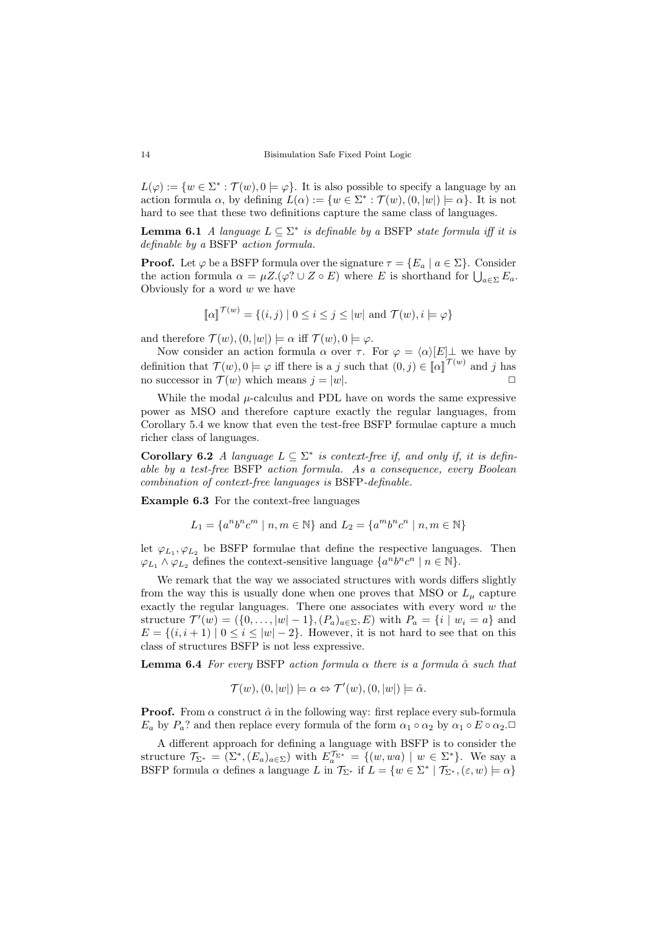$L(\varphi) := \{w \in \Sigma^* : \mathcal{T}(w), 0 \models \varphi\}.$  It is also possible to specify a language by an action formula  $\alpha$ , by defining  $L(\alpha) := \{ w \in \Sigma^* : \mathcal{T}(w), (0, |w|) \models \alpha \}.$  It is not hard to see that these two definitions capture the same class of languages.

**Lemma 6.1** A language  $L \subseteq \Sigma^*$  is definable by a BSFP state formula iff it is definable by a BSFP action formula.

**Proof.** Let  $\varphi$  be a BSFP formula over the signature  $\tau = \{E_a \mid a \in \Sigma\}$ . Consider the action formula  $\alpha = \mu Z.(\varphi? \cup Z \circ E)$  where E is shorthand for  $\bigcup_{a \in \Sigma} E_a$ . Obviously for a word  $w$  we have

$$
\llbracket \alpha \rrbracket^{\mathcal{T}(w)} = \{ (i,j) \mid 0 \le i \le j \le |w| \text{ and } \mathcal{T}(w), i \models \varphi \}
$$

and therefore  $\mathcal{T}(w),(0,|w|) \models \alpha$  iff  $\mathcal{T}(w), 0 \models \varphi$ .

Now consider an action formula  $\alpha$  over  $\tau$ . For  $\varphi = \langle \alpha \rangle[E] \bot$  we have by definition that  $\mathcal{T}(w), 0 \models \varphi$  iff there is a j such that  $(0, j) \in [\![\alpha]\!]^{\mathcal{T}(w)}$  and j has no successor in  $\mathcal{T}(w)$  which means  $j = |w|$ .

While the modal  $\mu$ -calculus and PDL have on words the same expressive power as MSO and therefore capture exactly the regular languages, from Corollary [5.4](#page-12-0) we know that even the test-free BSFP formulae capture a much richer class of languages.

Corollary 6.2 A language  $L \subseteq \Sigma^*$  is context-free if, and only if, it is definable by a test-free BSFP action formula. As a consequence, every Boolean combination of context-free languages is BSFP-definable.

Example 6.3 For the context-free languages

$$
L_1 = \{a^n b^n c^m \mid n, m \in \mathbb{N}\} \text{ and } L_2 = \{a^m b^n c^n \mid n, m \in \mathbb{N}\}\
$$

let  $\varphi_{L_1}, \varphi_{L_2}$  be BSFP formulae that define the respective languages. Then  $\varphi_{L_1} \wedge \varphi_{L_2}$  defines the context-sensitive language  $\{a^n b^n c^n \mid n \in \mathbb{N}\}.$ 

We remark that the way we associated structures with words differs slightly from the way this is usually done when one proves that MSO or  $L_{\mu}$  capture exactly the regular languages. There one associates with every word  $w$  the structure  $\mathcal{T}'(w) = (\{0, ..., |w| - 1\}, (P_a)_{a \in \Sigma}, E)$  with  $P_a = \{i \mid w_i = a\}$  and  $E = \{(i, i + 1) | 0 \le i \le |w| - 2\}$ . However, it is not hard to see that on this class of structures BSFP is not less expressive.

**Lemma 6.4** For every BSFP action formula  $\alpha$  there is a formula  $\hat{\alpha}$  such that

$$
\mathcal{T}(w), (0, |w|) \models \alpha \Leftrightarrow \mathcal{T}'(w), (0, |w|) \models \hat{\alpha}.
$$

**Proof.** From  $\alpha$  construct  $\hat{\alpha}$  in the following way: first replace every sub-formula  $E_a$  by  $P_a$ ? and then replace every formula of the form  $\alpha_1 \circ \alpha_2$  by  $\alpha_1 \circ E \circ \alpha_2$ .

A different approach for defining a language with BSFP is to consider the structure  $\mathcal{T}_{\Sigma^*} = (\Sigma^*, (E_a)_{a \in \Sigma})$  with  $E_a^{\mathcal{T}_{\Sigma^*}} = \{(w, wa) \mid w \in \Sigma^*\}.$  We say a BSFP formula  $\alpha$  defines a language L in  $\mathcal{T}_{\Sigma^*}$  if  $L = \{w \in \Sigma^* \mid \mathcal{T}_{\Sigma^*}, (\varepsilon, w) \models \alpha\}$